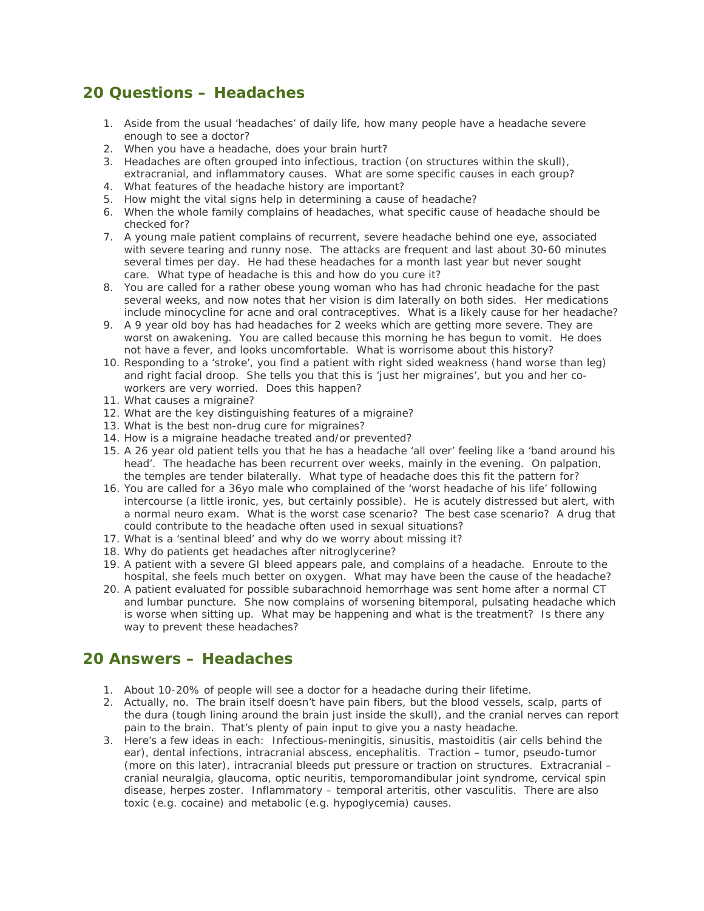## **20 Questions – Headaches**

- 1. Aside from the usual 'headaches' of daily life, how many people have a headache severe enough to see a doctor?
- 2. When you have a headache, does your brain hurt?
- 3. Headaches are often grouped into infectious, traction (on structures within the skull), extracranial, and inflammatory causes. What are some specific causes in each group?
- 4. What features of the headache history are important?
- 5. How might the vital signs help in determining a cause of headache?
- 6. When the whole family complains of headaches, what specific cause of headache should be checked for?
- 7. A young male patient complains of recurrent, severe headache behind one eye, associated with severe tearing and runny nose. The attacks are frequent and last about 30-60 minutes several times per day. He had these headaches for a month last year but never sought care. What type of headache is this and how do you cure it?
- 8. You are called for a rather obese young woman who has had chronic headache for the past several weeks, and now notes that her vision is dim laterally on both sides. Her medications include minocycline for acne and oral contraceptives. What is a likely cause for her headache?
- 9. A 9 year old boy has had headaches for 2 weeks which are getting more severe. They are worst on awakening. You are called because this morning he has begun to vomit. He does not have a fever, and looks uncomfortable. What is worrisome about this history?
- 10. Responding to a 'stroke', you find a patient with right sided weakness (hand worse than leg) and right facial droop. She tells you that this is 'just her migraines', but you and her coworkers are very worried. Does this happen?
- 11. What causes a migraine?
- 12. What are the key distinguishing features of a migraine?
- 13. What is the best non-drug cure for migraines?
- 14. How is a migraine headache treated and/or prevented?
- 15. A 26 year old patient tells you that he has a headache 'all over' feeling like a 'band around his head'. The headache has been recurrent over weeks, mainly in the evening. On palpation, the temples are tender bilaterally. What type of headache does this fit the pattern for?
- 16. You are called for a 36yo male who complained of the 'worst headache of his life' following intercourse (a little ironic, yes, but certainly possible). He is acutely distressed but alert, with a normal neuro exam. What is the worst case scenario? The best case scenario? A drug that could contribute to the headache often used in sexual situations?
- 17. What is a 'sentinal bleed' and why do we worry about missing it?
- 18. Why do patients get headaches after nitroglycerine?
- 19. A patient with a severe GI bleed appears pale, and complains of a headache. Enroute to the hospital, she feels much better on oxygen. What may have been the cause of the headache?
- 20. A patient evaluated for possible subarachnoid hemorrhage was sent home after a normal CT and lumbar puncture. She now complains of worsening bitemporal, pulsating headache which is worse when sitting up. What may be happening and what is the treatment? Is there any way to prevent these headaches?

## **20 Answers – Headaches**

- 1. About 10-20% of people will see a doctor for a headache during their lifetime.
- 2. Actually, no. The brain itself doesn't have pain fibers, but the blood vessels, scalp, parts of the dura (tough lining around the brain just inside the skull), and the cranial nerves can report pain to the brain. That's plenty of pain input to give you a nasty headache.
- 3. Here's a few ideas in each: Infectious-meningitis, sinusitis, mastoiditis (air cells behind the ear), dental infections, intracranial abscess, encephalitis. Traction – tumor, pseudo-tumor (more on this later), intracranial bleeds put pressure or traction on structures. Extracranial – cranial neuralgia, glaucoma, optic neuritis, temporomandibular joint syndrome, cervical spin disease, herpes zoster. Inflammatory – temporal arteritis, other vasculitis. There are also toxic (e.g. cocaine) and metabolic (e.g. hypoglycemia) causes.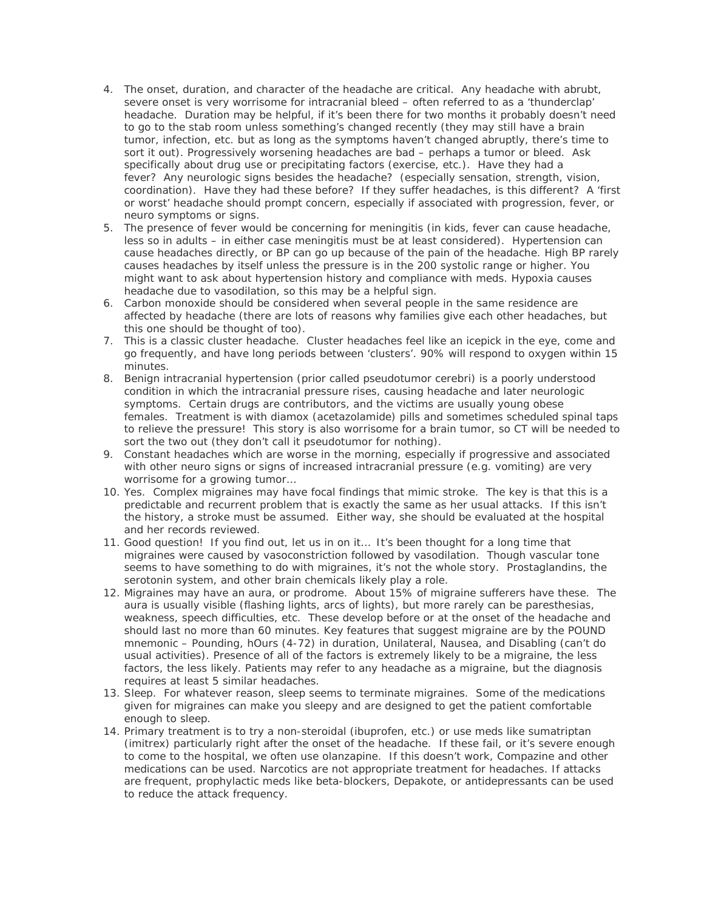- 4. The onset, duration, and character of the headache are critical. Any headache with abrubt, severe onset is very worrisome for intracranial bleed – often referred to as a 'thunderclap' headache. Duration may be helpful, if it's been there for two months it probably doesn't need to go to the stab room unless something's changed recently (they may still have a brain tumor, infection, etc. but as long as the symptoms haven't changed abruptly, there's time to sort it out). Progressively worsening headaches are bad – perhaps a tumor or bleed. Ask specifically about drug use or precipitating factors (exercise, etc.). Have they had a fever? Any neurologic signs besides the headache? (especially sensation, strength, vision, coordination). Have they had these before? If they suffer headaches, is this different? A 'first or worst' headache should prompt concern, especially if associated with progression, fever, or neuro symptoms or signs.
- 5. The presence of fever would be concerning for meningitis (in kids, fever can cause headache, less so in adults – in either case meningitis must be at least considered). Hypertension can cause headaches directly, or BP can go up because of the pain of the headache. High BP rarely causes headaches by itself unless the pressure is in the 200 systolic range or higher. You might want to ask about hypertension history and compliance with meds. Hypoxia causes headache due to vasodilation, so this may be a helpful sign.
- 6. Carbon monoxide should be considered when several people in the same residence are affected by headache (there are lots of reasons why families give each other headaches, but this one should be thought of too).
- 7. This is a classic cluster headache. Cluster headaches feel like an icepick in the eye, come and go frequently, and have long periods between 'clusters'. 90% will respond to oxygen within 15 minutes.
- 8. Benign intracranial hypertension (prior called pseudotumor cerebri) is a poorly understood condition in which the intracranial pressure rises, causing headache and later neurologic symptoms. Certain drugs are contributors, and the victims are usually young obese females. Treatment is with diamox (acetazolamide) pills and sometimes scheduled spinal taps to relieve the pressure! This story is also worrisome for a brain tumor, so CT will be needed to sort the two out (they don't call it pseudotumor for nothing).
- 9. Constant headaches which are worse in the morning, especially if progressive and associated with other neuro signs or signs of increased intracranial pressure (e.g. vomiting) are very worrisome for a growing tumor…
- 10. Yes. Complex migraines may have focal findings that mimic stroke. The key is that this is a predictable and recurrent problem that is exactly the same as her usual attacks. If this isn't the history, a stroke must be assumed. Either way, she should be evaluated at the hospital and her records reviewed.
- 11. Good question! If you find out, let us in on it… It's been thought for a long time that migraines were caused by vasoconstriction followed by vasodilation. Though vascular tone seems to have something to do with migraines, it's not the whole story. Prostaglandins, the serotonin system, and other brain chemicals likely play a role.
- 12. Migraines may have an aura, or prodrome. About 15% of migraine sufferers have these. The aura is usually visible (flashing lights, arcs of lights), but more rarely can be paresthesias, weakness, speech difficulties, etc. These develop before or at the onset of the headache and should last no more than 60 minutes. Key features that suggest migraine are by the POUND mnemonic – Pounding, hOurs (4-72) in duration, Unilateral, Nausea, and Disabling (can't do usual activities). Presence of all of the factors is extremely likely to be a migraine, the less factors, the less likely. Patients may refer to any headache as a migraine, but the diagnosis requires at least 5 similar headaches.
- 13. Sleep. For whatever reason, sleep seems to terminate migraines. Some of the medications given for migraines can make you sleepy and are designed to get the patient comfortable enough to sleep.
- 14. Primary treatment is to try a non-steroidal (ibuprofen, etc.) or use meds like sumatriptan (imitrex) particularly right after the onset of the headache. If these fail, or it's severe enough to come to the hospital, we often use olanzapine. If this doesn't work, Compazine and other medications can be used. Narcotics are not appropriate treatment for headaches. If attacks are frequent, prophylactic meds like beta-blockers, Depakote, or antidepressants can be used to reduce the attack frequency.